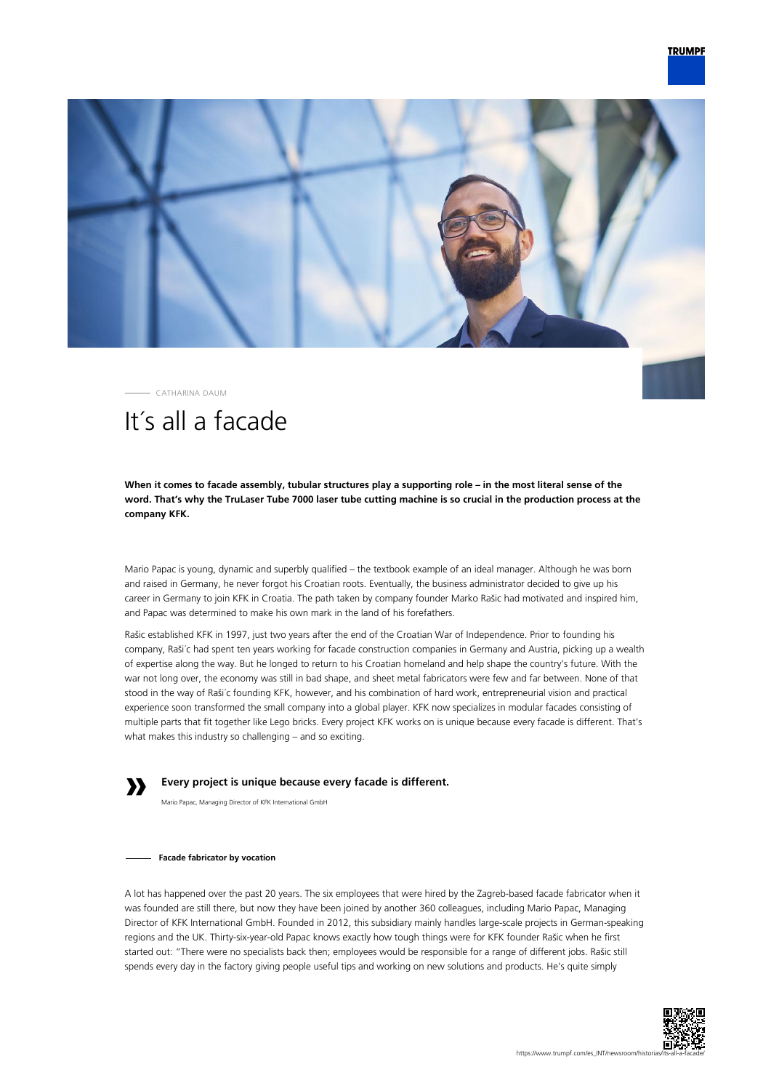



CATHARINA DAUM

# It´s all a facade

**When it comes to facade assembly, tubular structures play a supporting role – in the most literal sense of the word. That's why the TruLaser Tube 7000 laser tube cutting machine is so crucial in the production process at the company KFK.**

Mario Papac is young, dynamic and superbly qualified – the textbook example of an ideal manager. Although he was born and raised in Germany, he never forgot his Croatian roots. Eventually, the business administrator decided to give up his career in Germany to join KFK in Croatia. The path taken by company founder Marko Rašic had motivated and inspired him, and Papac was determined to make his own mark in the land of his forefathers.

Rašic established KFK in 1997, just two years after the end of the Croatian War of Independence. Prior to founding his company, Raši´c had spent ten years working for facade construction companies in Germany and Austria, picking up a wealth of expertise along the way. But he longed to return to his Croatian homeland and help shape the country's future. With the war not long over, the economy was still in bad shape, and sheet metal fabricators were few and far between. None of that stood in the way of Raši´c founding KFK, however, and his combination of hard work, entrepreneurial vision and practical experience soon transformed the small company into a global player. KFK now specializes in modular facades consisting of multiple parts that fit together like Lego bricks. Every project KFK works on is unique because every facade is different. That's what makes this industry so challenging – and so exciting.

### **Every project is unique because every facade is different.**

Mario Papac, Managing Director of KFK International GmbH

#### **Facade fabricator by vocation**

**»**

A lot has happened over the past 20 years. The six employees that were hired by the Zagreb-based facade fabricator when it was founded are still there, but now they have been joined by another 360 colleagues, including Mario Papac, Managing Director of KFK International GmbH. Founded in 2012, this subsidiary mainly handles large-scale projects in German-speaking regions and the UK. Thirty-six-year-old Papac knows exactly how tough things were for KFK founder Rašic when he first started out: "There were no specialists back then; employees would be responsible for a range of different jobs. Rašic still spends every day in the factory giving people useful tips and working on new solutions and products. He's quite simply

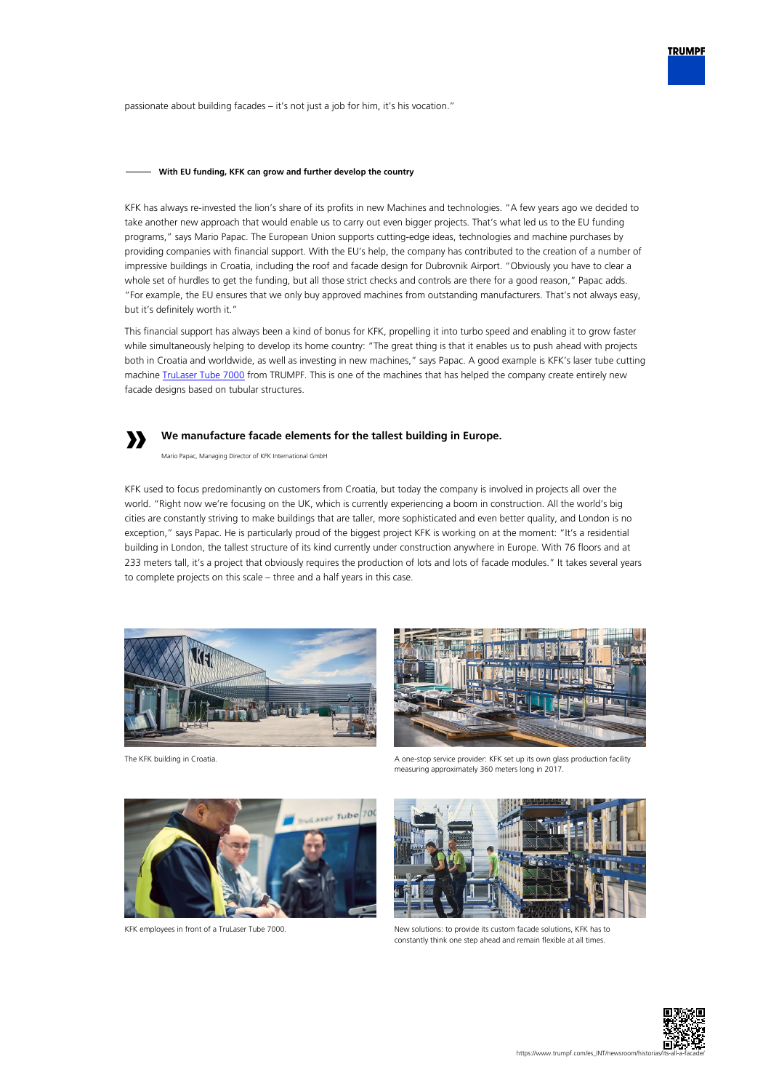passionate about building facades – it's not just a job for him, it's his vocation."

### **With EU funding, KFK can grow and further develop the country**

KFK has always re-invested the lion's share of its profits in new Machines and technologies. "A few years ago we decided to take another new approach that would enable us to carry out even bigger projects. That's what led us to the EU funding programs," says Mario Papac. The European Union supports cutting-edge ideas, technologies and machine purchases by providing companies with financial support. With the EU's help, the company has contributed to the creation of a number of impressive buildings in Croatia, including the roof and facade design for Dubrovnik Airport. "Obviously you have to clear a whole set of hurdles to get the funding, but all those strict checks and controls are there for a good reason," Papac adds. "For example, the EU ensures that we only buy approved machines from outstanding manufacturers. That's not always easy, but it's definitely worth it."

This financial support has always been a kind of bonus for KFK, propelling it into turbo speed and enabling it to grow faster while simultaneously helping to develop its home country: "The great thing is that it enables us to push ahead with projects both in Croatia and worldwide, as well as investing in new machines," says Papac. A good example is KFK's laser tube cutting machine [TruLaser Tube 7000](https://www.trumpf.com/en_US/products/machines-systems/laser-tube-cutting-machines/trulaser-tube-7000/) from TRUMPF. This is one of the machines that has helped the company create entirely new facade designs based on tubular structures.

### **We manufacture facade elements for the tallest building in Europe.**

Mario Papac, Managing Director of KFK International GmbH

KFK used to focus predominantly on customers from Croatia, but today the company is involved in projects all over the world. "Right now we're focusing on the UK, which is currently experiencing a boom in construction. All the world's big cities are constantly striving to make buildings that are taller, more sophisticated and even better quality, and London is no exception," says Papac. He is particularly proud of the biggest project KFK is working on at the moment: "It's a residential building in London, the tallest structure of its kind currently under construction anywhere in Europe. With 76 floors and at 233 meters tall, it's a project that obviously requires the production of lots and lots of facade modules." It takes several years to complete projects on this scale – three and a half years in this case.



**»**





The KFK building in Croatia. A one-stop service provider: KFK set up its own glass production facility measuring approximately 360 meters long in 2017.



KFK employees in front of a TruLaser Tube 7000. New solutions: to provide its custom facade solutions, KFK has to constantly think one step ahead and remain flexible at all times.